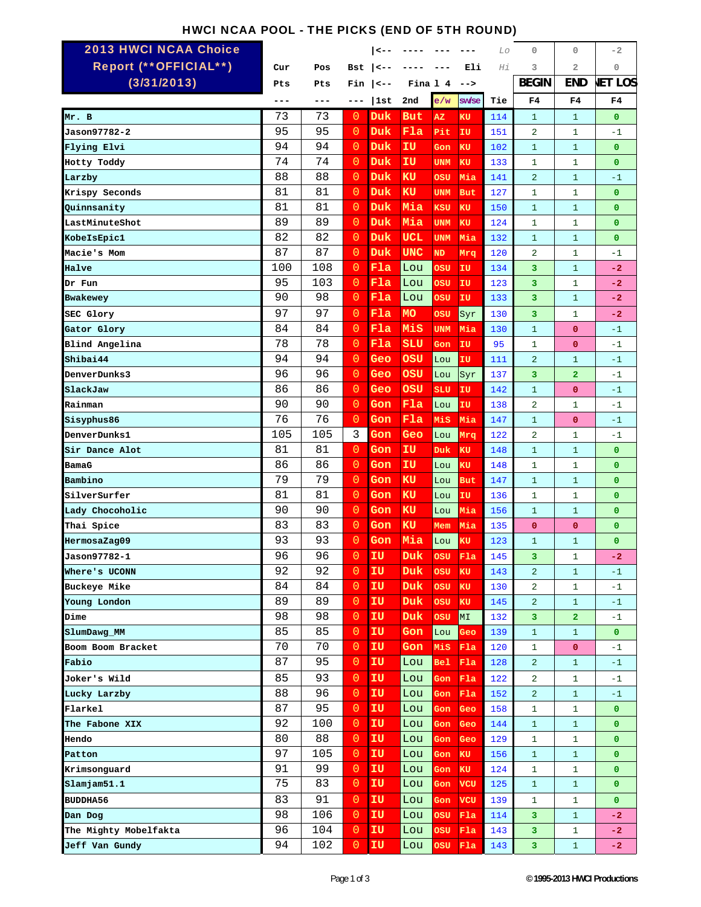## HWCI NCAA POOL - THE PICKS (END OF 5TH ROUND)

| <b>2013 HWCI NCAA Choice</b> |     |     |                | <--          |            |            |                | Lo  | $\mathbf{0}$   | 0              | $-2$           |
|------------------------------|-----|-----|----------------|--------------|------------|------------|----------------|-----|----------------|----------------|----------------|
| Report (**OFFICIAL**)        | Cur | Pos | Bst            | $\leftarrow$ |            |            | Eli            | Ηi  | 3              | 2              | 0              |
| (3/31/2013)                  | Pts | Pts | Fin            | <--          | Fina 1 4   |            | $--$           |     | <b>BEGIN</b>   | <b>END</b>     | <b>JET LOS</b> |
|                              |     | --- | ---            | 1st          | 2nd        | e/w        | sw/se          | Tie | F4             | F4             | F4             |
| Mr. B                        | 73  | 73  | 0              | Duk          | But        | AZ         | KU             | 114 | $\mathbf{1}$   | $\mathbf{1}$   | $\mathbf 0$    |
| Jason97782-2                 | 95  | 95  | $\overline{0}$ | Duk          | Fla        | Pit        | IU             | 151 | 2              | $\mathbf{1}$   | $-1$           |
| Flying Elvi                  | 94  | 94  | $\overline{0}$ | Duk          | ΙU         | Gon        | KU             | 102 | $\mathbf{1}$   | $\mathbf{1}$   | $\bf{0}$       |
| Hotty Toddy                  | 74  | 74  | $\overline{0}$ | Duk          | IU         | <b>UNM</b> | KU             | 133 | $\mathbf{1}$   | $\mathbf{1}$   | $\bf{0}$       |
| Larzby                       | 88  | 88  | $\overline{0}$ | Duk          | KU         | OSU        | Mia            | 141 | $\overline{2}$ | $\mathbf{1}$   | $-1$           |
| Krispy Seconds               | 81  | 81  | $\overline{0}$ | Duk          | <b>KU</b>  | <b>UNM</b> | <b>But</b>     | 127 | $\mathbf{1}$   | $\mathbf{1}$   | $\mathbf 0$    |
| Quinnsanity                  | 81  | 81  | $\overline{0}$ | Duk          | Mia        | KSU        | <b>KU</b>      | 150 | $\mathbf{1}$   | $\mathbf{1}$   | $\overline{0}$ |
| LastMinuteShot               | 89  | 89  | $\overline{0}$ | Duk          | Mia        | <b>UNM</b> | KU             | 124 | $\mathbf{1}$   | $\mathbf{1}$   | $\overline{0}$ |
| KobeIsEpic1                  | 82  | 82  | 0              | Duk          | UCL        | <b>UNM</b> | Mia            | 132 | $\mathbf{1}$   | $\mathbf{1}$   | $\mathbf 0$    |
| Macie's Mom                  | 87  | 87  | $\overline{0}$ | Duk          | UNC        | <b>ND</b>  | Mrq            | 120 | 2              | $\mathbf{1}$   | $-1$           |
| Halve                        | 100 | 108 | $\overline{0}$ | Fla          | Lou        | osu        | IU             | 134 | 3              | $\mathbf{1}$   | $-2$           |
| Dr Fun                       | 95  | 103 | $\overline{0}$ | Fla          | Lou        | OSU        | IU             | 123 | 3              | $\mathbf{1}$   | $-2$           |
| Bwakewey                     | 90  | 98  | $\overline{0}$ | Fla          | Lou        | osu        | IU             | 133 | 3              | $\mathbf{1}$   | $-2$           |
| SEC Glory                    | 97  | 97  | $\overline{0}$ | Fla          | <b>MO</b>  | OSU        | Syr            | 130 | 3              | 1              | $-2$           |
| Gator Glory                  | 84  | 84  | $\overline{0}$ | Fla          | MiS        | <b>UNM</b> | Mia            | 130 | $\mathbf{1}$   | $\mathbf{O}$   | $-1$           |
| Blind Angelina               | 78  | 78  | $\overline{0}$ | Fla          | <b>SLU</b> | Gon        | IU             | 95  | $\mathbf{1}$   | 0              | $-1$           |
| Shibai44                     | 94  | 94  | $\overline{0}$ | Geo          | OSU        | Lou        | IU             | 111 | $\overline{2}$ | $\mathbf{1}$   | $-1$           |
| <b>DenverDunks3</b>          | 96  | 96  | 0              | Geo          | osu        | Lou        | Syr            | 137 | 3              | $\overline{a}$ | $-1$           |
| SlackJaw                     | 86  | 86  | $\overline{0}$ | Geo          | osu        | SLU        | IU             | 142 | $\mathbf{1}$   | $\mathbf 0$    | $-1$           |
| Rainman                      | 90  | 90  | $\overline{0}$ | Gon          | Fla        | Lou        | IU             | 138 | 2              | $\mathbf{1}$   | $-1$           |
| Sisyphus86                   | 76  | 76  | $\overline{0}$ | Gon          | Fla        | Mis        | Mia            | 147 | $\mathbf{1}$   | 0              | $-1$           |
| <b>DenverDunks1</b>          | 105 | 105 | 3              | Gon          | Geo        | Lou        | Mrq            | 122 | $\overline{2}$ | $\mathbf{1}$   | $-1$           |
| Sir Dance Alot               | 81  | 81  | $\overline{0}$ | Gon          | IU         | Duk        | KU             | 148 | $\mathbf{1}$   | $\mathbf{1}$   | $\mathbf 0$    |
| BamaG                        | 86  | 86  | $\overline{0}$ | Gon          | ΙU         | Lou        | κU             | 148 | $\mathbf{1}$   | 1              | $\overline{0}$ |
| Bambino                      | 79  | 79  | $\overline{0}$ | Gon          | KU         | Lou        | But            | 147 | $\mathbf{1}$   | $\mathbf{1}$   | $\mathbf 0$    |
| SilverSurfer                 | 81  | 81  | $\overline{0}$ | Gon          | KU         | Lou        | ΙU             | 136 | $\mathbf{1}$   | $\mathbf{1}$   | $\mathbf 0$    |
| Lady Chocoholic              | 90  | 90  | $\overline{0}$ | Gon          | <b>KU</b>  | Lou        | Mia            | 156 | $\mathbf{1}$   | $\mathbf{1}$   | $\overline{0}$ |
| Thai Spice                   | 83  | 83  | $\overline{0}$ | Gon          | KU         | Mem        | Mia            | 135 | $\mathbf{0}$   | $\mathbf 0$    | $\mathbf 0$    |
| HermosaZag09                 | 93  | 93  | $\overline{0}$ | Gon          | Mia        | Lou        | κU             | 123 | $\mathbf{1}$   | $\mathbf{1}$   | $\bf{0}$       |
| Jason97782-1                 | 96  | 96  | 0              | IU           | Duk.       | <b>OSU</b> | F1a            | 145 | 3              | 1              | $-2$           |
| Where's UCONN                | 92  | 92  | $\overline{0}$ | IU           | Duk        | <b>OSU</b> | KU             | 143 | $\overline{a}$ | $\mathbf{1}$   | $-1$           |
| Buckeye Mike                 | 84  | 84  | $\overline{0}$ | IU           | <b>Duk</b> | OSU        | KU             | 130 | $\overline{a}$ | $\mathbf{1}$   | $-1$           |
| Young London                 | 89  | 89  | $\overline{0}$ | IU           | Duk        | OSU        | KU             | 145 | $\overline{a}$ | $\mathbf{1}$   | $-1$           |
| Dime                         | 98  | 98  | $\overline{0}$ | IU           | Duk        | OSU        | M <sub>L</sub> | 132 | 3              | $\overline{2}$ | $-1$           |
| SlumDawg MM                  | 85  | 85  | $\overline{0}$ | IU           | Gon        | Lou        | Geo            | 139 | $\mathbf{1}$   | $\mathbf{1}$   | $\bullet$      |
| Boom Boom Bracket            | 70  | 70  | $\overline{0}$ | IU           | Gon        | Mis        | Fla            | 120 | $\mathbf{1}$   | $\mathbf{O}$   | $-1$           |
| Fabio                        | 87  | 95  | $\overline{0}$ | IU           | Lou        | Bel        | Fla            | 128 | $\overline{a}$ | $\mathbf{1}$   | $-1$           |
| Joker's Wild                 | 85  | 93  | $\overline{0}$ | IU           | Lou        | Gon        | Fla            | 122 | 2              | $\mathbf{1}$   | $-1$           |
| Lucky Larzby                 | 88  | 96  | $\overline{0}$ | IU           | Lou        | Gon        | Fla            | 152 | $\overline{a}$ | $\mathbf{1}$   | $-1$           |
| Flarkel                      | 87  | 95  | $\overline{0}$ | IU           | Lou        | Gon        | Geo            | 158 | $\mathbf{1}$   | $\mathbf{1}$   | $\mathbf{0}$   |
| The Fabone XIX               | 92  | 100 | $\circ$        | IU           | Lou        | Gon        | Geo            | 144 | $\mathbf{1}$   | $\mathbf{1}$   | $\mathbf{0}$   |
| Hendo                        | 80  | 88  | $\sigma$       | IU           | Lou        | Gon        | Geo            | 129 | $\mathbf{1}$   | $\mathbf{1}$   | $\mathbf{O}$   |
| Patton                       | 97  | 105 | $\overline{0}$ | IU           | Lou        | Gon        | KU             | 156 | $\mathbf{1}$   | $\mathbf{1}$   | $\mathbf{O}$   |
| Krimsonguard                 | 91  | 99  | $\overline{0}$ | IU           | Lou        | Gon        | KU             | 124 | $\mathbf{1}$   | $\mathbf{1}$   | $\mathbf{0}$   |
| Slamjam51.1                  | 75  | 83  | $\overline{0}$ | IU           | Lou        | Gon        | VCU            | 125 | $\mathbf{1}$   | $\mathbf{1}$   | $\mathbf{0}$   |
| <b>BUDDHA56</b>              | 83  | 91  | $\overline{0}$ | IU           | Lou        | Gon        | VCU            | 139 | $\mathbf{1}$   | $\mathbf{1}$   | $\mathbf{0}$   |
| Dan Dog                      | 98  | 106 | $\overline{0}$ | IU           | Lou        | OSU        | Fla            | 114 | 3              | $\mathbf{1}$   | $-2$           |
| The Mighty Mobelfakta        | 96  | 104 | $\overline{0}$ | IU           | Lou        | OSU        | Fla            | 143 | 3              | $\mathbf{1}$   | $-2$           |
| Jeff Van Gundy               | 94  | 102 | $\overline{0}$ | IU           | Lou        | OSU        | Fla            | 143 | 3              | $\mathbf{1}$   | $-2$           |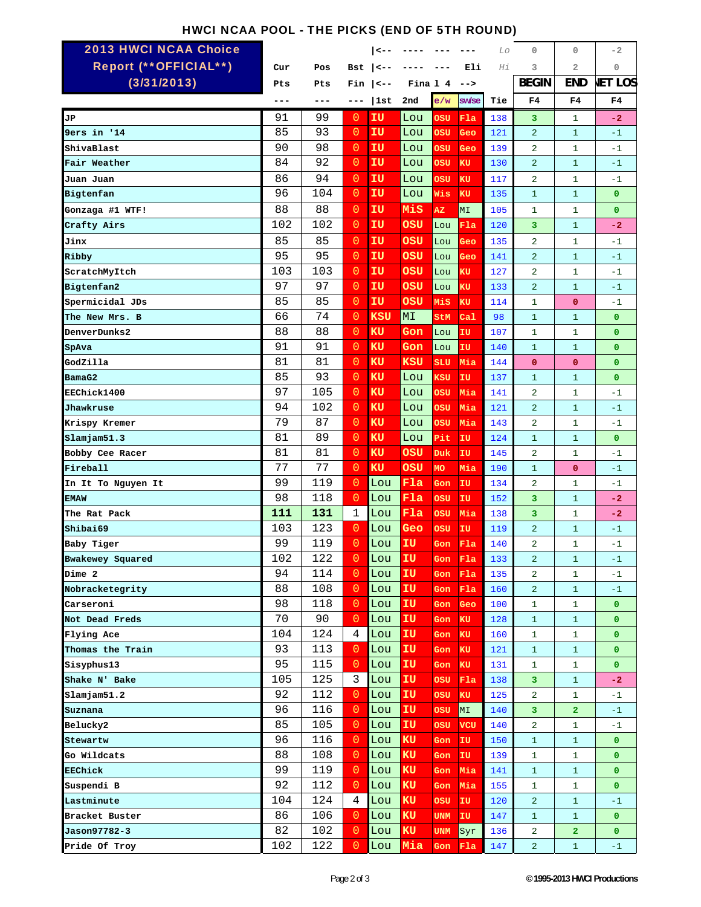## HWCI NCAA POOL - THE PICKS (END OF 5TH ROUND)

| <b>2013 HWCI NCAA Choice</b> |     |     |                | <--              |          |            |            | Lo  | 0              | 0                       | $-2$           |
|------------------------------|-----|-----|----------------|------------------|----------|------------|------------|-----|----------------|-------------------------|----------------|
| Report (** OFFICIAL**)       | Cur | Pos | Bst            | $\leftarrow$ $-$ |          |            | Eli        | Ηi  | 3              | $\overline{a}$          | 0              |
| (3/31/2013)                  | Pts | Pts | Fin            | $\leftarrow$ $-$ | Fina 1 4 |            | $--$       |     | <b>BEGIN</b>   | <b>END</b>              | <b>JET LOS</b> |
|                              |     | --- | ---            | 1st              | 2nd      | e/w        | sw/se      | Tie | F4             | F4                      | F4             |
| JР                           | 91  | 99  | $\overline{0}$ | ΙU               | Lou      | ០នប        | Fla        | 138 | 3              | $\mathbf{1}$            | $-2$           |
| 9ers in '14                  | 85  | 93  | $\overline{0}$ | IU               | Lou      | OSU        | Geo        | 121 | $\overline{2}$ | $\mathbf{1}$            | $-1$           |
| ShivaBlast                   | 90  | 98  | $\overline{0}$ | ΙU               | Lou      | OSU        | Geo        | 139 | $\overline{a}$ | $\mathbf{1}$            | $-1$           |
| Fair Weather                 | 84  | 92  | $\overline{0}$ | ΙU               | Lou      | ០នប        | KU         | 130 | $\overline{a}$ | $\mathbf{1}$            | $-1$           |
| Juan Juan                    | 86  | 94  | $\overline{0}$ | ΙU               | Lou      | osu        | KU         | 117 | 2              | $\mathbf{1}$            | $-1$           |
| Bigtenfan                    | 96  | 104 | $\overline{0}$ | ΙU               | Lou      | Wis        | KU         | 135 | $\mathbf{1}$   | $\mathbf{1}$            | $\mathbf 0$    |
| Gonzaga #1 WTF!              | 88  | 88  | $\overline{0}$ | ΙU               | MiS      | AZ.        | MI         | 105 | $\mathbf{1}$   | 1                       | $\mathbf 0$    |
| Crafty Airs                  | 102 | 102 | $\overline{0}$ | ΙU               | ០នប      | Lou        | F1a        | 120 | 3              | $\mathbf{1}$            | $-2$           |
| Jinx                         | 85  | 85  | $\overline{0}$ | ΙU               | OSU      | Lou        | Geo        | 135 | 2              | $\mathbf{1}$            | $-1$           |
| Ribby                        | 95  | 95  | $\overline{0}$ | IU               | OSU      | Lou        | Geo        | 141 | $\overline{a}$ | $\mathbf{1}$            | $-1$           |
| ScratchMyItch                | 103 | 103 | $\overline{0}$ | ΙU               | osu      | Lou        | κU         | 127 | $\overline{a}$ | $\mathbf{1}$            | $-1$           |
| Bigtenfan2                   | 97  | 97  | $\overline{0}$ | ΙU               | ០នប      | Lou        | κU         | 133 | $\overline{a}$ | $\mathbf{1}$            | $-1$           |
| Spermicidal JDs              | 85  | 85  | $\overline{0}$ | ΙU               | OSU      | Mis        | KU         | 114 | $\mathbf{1}$   | $\mathbf{O}$            | $-1$           |
| The New Mrs. B               | 66  | 74  | $\overline{0}$ | KSU              | MΙ       | StM        | $ca1$      | 98  | $\mathbf{1}$   | $\mathbf{1}$            | $\mathbf 0$    |
| <b>DenverDunks2</b>          | 88  | 88  | $\overline{0}$ | KU               | Gon      | Lou        | IU         | 107 | $\mathbf{1}$   | $\mathbf{1}$            | $\overline{0}$ |
| SpAva                        | 91  | 91  | $\overline{0}$ | KU               | Gon      | Lou        | ΙU         | 140 | $\mathbf{1}$   | $\mathbf{1}$            | $\overline{0}$ |
| GodZilla                     | 81  | 81  | 0              | KU               | KSU      | SLU        | Mia        | 144 | $\mathbf{O}$   | 0                       | $\mathbf 0$    |
| BamaG2                       | 85  | 93  | $\overline{0}$ | <b>KU</b>        | Lou      | KSU        | IU         | 137 | $\mathbf{1}$   | $\mathbf{1}$            | $\mathbf 0$    |
| EEChick1400                  | 97  | 105 | $\overline{0}$ | <b>KU</b>        | Lou      | OSU        | Mia        | 141 | 2              | $\mathbf{1}$            | $-1$           |
| Jhawkruse                    | 94  | 102 | $\overline{0}$ | <b>KU</b>        | Lou      | OSU        | Mia        | 121 | $\overline{a}$ | $\mathbf{1}$            | $-1$           |
| Krispy Kremer                | 79  | 87  | $\overline{0}$ | KU               | Lou      | osu        | Mia        | 143 | $\overline{a}$ | $\mathbf{1}$            | $-1$           |
| slamjam51.3                  | 81  | 89  | 0              | KU               | Lou      | Pit        | IU         | 124 | $\mathbf{1}$   | $\mathbf{1}$            | $\mathbf 0$    |
| Bobby Cee Racer              | 81  | 81  | $\overline{0}$ | <b>KU</b>        | OSU      | Duk        | IU         | 145 | 2              | $\mathbf{1}$            | $-1$           |
| Fireball                     | 77  | 77  | $\overline{0}$ | KU               | OSU      | <b>MO</b>  | Mia        | 190 | $\mathbf{1}$   | 0                       | $-1$           |
| In It To Nguyen It           | 99  | 119 | $\overline{0}$ | Lou              | F1a      | Gon        | IU         | 134 | 2              | $\mathbf{1}$            | $-1$           |
| <b>EMAW</b>                  | 98  | 118 | $\overline{0}$ | Lou              | Fla      | OSU        | IU         | 152 | 3              | $\mathbf{1}$            | $-2$           |
| The Rat Pack                 | 111 | 131 | $\mathbf{1}$   | Lou              | Fla      | OSU        | Mia        | 138 | 3              | $\mathbf{1}$            | $-2$           |
| Shibai69                     | 103 | 123 | $\overline{0}$ | Lou              | Geo      | OSU        | IU         | 119 | 2              | $\mathbf{1}$            | $-1$           |
| Baby Tiger                   | 99  | 119 | $\overline{0}$ | Lou              | ΙU       | Gon        | Fla        | 140 | 2              | $\mathbf{1}$            | $-1$           |
| Bwakewey Squared             | 102 | 122 | $\overline{0}$ | Lou              | IU       | Gon Fla    |            | 133 | $\overline{a}$ | $\mathbf{1}$            | $-1$           |
| Dime 2                       | 94  | 114 | $\cup$         | Lou              | IU       | Gon        | Fla        | 135 | 2              | $\mathbf{1}$            | $-1$           |
| Nobracketegrity              | 88  | 108 | $\overline{0}$ | Lou              | IU       | Gon        | Fla        | 160 | $\overline{a}$ | $\mathbf{1}$            | $-1$           |
| Carseroni                    | 98  | 118 | $\overline{0}$ | Lou              | IU       | Gon        | Geo        | 100 | 1              | $\mathbf{1}$            | $\bullet$      |
| Not Dead Freds               | 70  | 90  | $\overline{0}$ | Lou              | IU       | Gon        | KU.        | 128 | $\mathbf{1}$   | $\mathbf{1}$            | $\mathbf{0}$   |
| Flying Ace                   | 104 | 124 | 4              | Lou              | IU       | Gon        | KU         | 160 | $\mathbf{1}$   | $\mathbf{1}$            | $\mathbf{0}$   |
| Thomas the Train             | 93  | 113 | $\overline{0}$ | Lou              | IU       | Gon        | KU         | 121 | $\mathbf{1}$   | $\mathbf{1}$            | $\mathbf{0}$   |
| Sisyphus13                   | 95  | 115 | $\overline{0}$ | Lou              | IU       | Gon        | KU         | 131 | 1              | $\mathbf{1}$            | $\bullet$      |
| Shake N' Bake                | 105 | 125 | 3              | Lou              | IU       | OSU        | Fla        | 138 | 3              | $\mathbf{1}$            | $-2$           |
| Slamjam51.2                  | 92  | 112 | $\cup$         | Lou              | IU       | OSU        | KU         | 125 | $\overline{a}$ | $\mathbf{1}$            | $-1$           |
| Suznana                      | 96  | 116 | $\overline{0}$ | Lou              | IU       | OSU        | MI         | 140 | 3              | $\overline{\mathbf{2}}$ | $-1$           |
| Belucky2                     | 85  | 105 | $\sigma$       | Lou              | IU       | OSU        | <b>VCU</b> | 140 | $\overline{a}$ | $\mathbf{1}$            | $-1$           |
| Stewartw                     | 96  | 116 | $\overline{0}$ | Lou              | ΚU       | Gon        | IU         | 150 | $\mathbf{1}$   | $\mathbf{1}$            | $\bullet$      |
| Go Wildcats                  | 88  | 108 | $\overline{0}$ | Lou              | KU       | Gon        | IU         | 139 | $\mathbf{1}$   | $\mathbf{1}$            | $\mathbf{0}$   |
| EEChick                      | 99  | 119 | $\cup$         | Lou              | KU       | Gon        | Mia        | 141 | $\mathbf{1}$   | $\mathbf{1}$            | $\mathbf{0}$   |
| Suspendi B                   | 92  | 112 | $\overline{0}$ | Lou              | KU       | Gon        | Mia        | 155 | $\mathbf{1}$   | $\mathbf{1}$            | $\overline{0}$ |
| Lastminute                   | 104 | 124 | 4              | Lou              | KU       | OSU        | IU         | 120 | $\overline{a}$ | $\mathbf{1}$            | $-1$           |
| Bracket Buster               | 86  | 106 | $\overline{0}$ | Lou              | KU       | <b>UNM</b> | IU         | 147 | $\mathbf{1}$   | $\mathbf{1}$            | $\mathbf{0}$   |
| Jason97782-3                 | 82  | 102 | $\overline{0}$ | Lou              | KU       | <b>UNM</b> | Syr        | 136 | 2              | $\overline{\mathbf{2}}$ | $\bullet$      |
| Pride Of Troy                | 102 | 122 | 0.             | Lou              | Mia      | Gon Fla    |            | 147 | $\overline{a}$ | $\mathbf{1}$            | $-1$           |